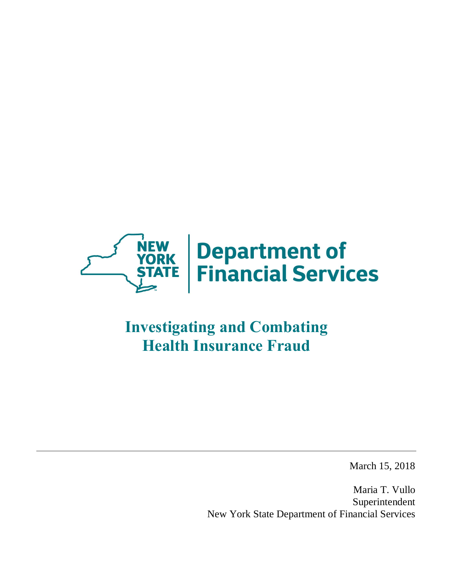

# **Investigating and Combating Health Insurance Fraud**

March 15, 2018

 Maria T. Vullo New York State Department of Financial Services Superintendent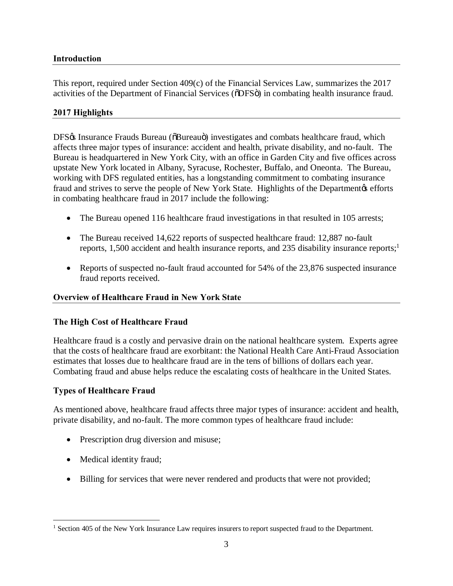## <span id="page-2-0"></span>**Introduction**

 This report, required under Section 409(c) of the Financial Services Law, summarizes the 2017 activities of the Department of Financial Services ( $\delta$ DFS $\ddot{o}$ ) in combating health insurance fraud.

## **2017 Highlights**

DFS% Insurance Frauds Bureau (OBureauo) investigates and combats healthcare fraud, which affects three major types of insurance: accident and health, private disability, and no-fault. The Bureau is headquartered in New York City, with an office in Garden City and five offices across upstate New York located in Albany, Syracuse, Rochester, Buffalo, and Oneonta. The Bureau, working with DFS regulated entities, has a longstanding commitment to combating insurance fraud and strives to serve the people of New York State. Highlights of the Department os efforts in combating healthcare fraud in 2017 include the following:

- The Bureau opened 116 healthcare fraud investigations in that resulted in 105 arrests;
- The Bureau received 14,622 reports of suspected healthcare fraud: 12,887 no-fault reports, 1,500 accident and health insurance reports, and 235 disability insurance reports;<sup>1</sup>
- • Reports of suspected no-fault fraud accounted for 54% of the 23,876 suspected insurance fraud reports received.

## **Overview of Healthcare Fraud in New York State**

## **The High Cost of Healthcare Fraud**

 Healthcare fraud is a costly and pervasive drain on the national healthcare system. Experts agree that the costs of healthcare fraud are exorbitant: the National Health Care Anti-Fraud Association estimates that losses due to healthcare fraud are in the tens of billions of dollars each year. Combating fraud and abuse helps reduce the escalating costs of healthcare in the United States.

#### **Types of Healthcare Fraud**

 As mentioned above, healthcare fraud affects three major types of insurance: accident and health, private disability, and no-fault. The more common types of healthcare fraud include:

- Prescription drug diversion and misuse;
- Medical identity fraud;

1

• Billing for services that were never rendered and products that were not provided;

<sup>&</sup>lt;sup>1</sup> Section 405 of the New York Insurance Law requires insurers to report suspected fraud to the Department.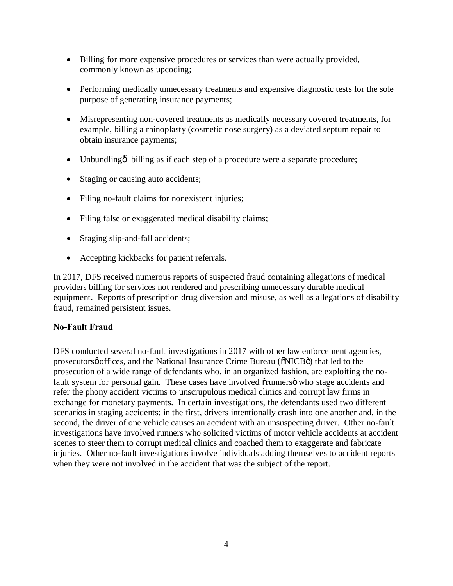- <span id="page-3-0"></span> • Billing for more expensive procedures or services than were actually provided, commonly known as upcoding;
- • Performing medically unnecessary treatments and expensive diagnostic tests for the sole purpose of generating insurance payments;
- • Misrepresenting non-covered treatments as medically necessary covered treatments, for example, billing a rhinoplasty (cosmetic nose surgery) as a deviated septum repair to obtain insurance payments;
- Unbundlingô billing as if each step of a procedure were a separate procedure;
- Staging or causing auto accidents;
- Filing no-fault claims for nonexistent injuries;
- Filing false or exaggerated medical disability claims;
- Staging slip-and-fall accidents;
- Accepting kickbacks for patient referrals.

 In 2017, DFS received numerous reports of suspected fraud containing allegations of medical providers billing for services not rendered and prescribing unnecessary durable medical equipment. Reports of prescription drug diversion and misuse, as well as allegations of disability fraud, remained persistent issues.

## **No-Fault Fraud**

 DFS conducted several no-fault investigations in 2017 with other law enforcement agencies, prosecutorsø offices, and the National Insurance Crime Bureau ( $\delta$ NICB $\ddot{o}$ ) that led to the prosecution of a wide range of defendants who, in an organized fashion, are exploiting the nofault system for personal gain. These cases have involved õrunnersö who stage accidents and refer the phony accident victims to unscrupulous medical clinics and corrupt law firms in exchange for monetary payments. In certain investigations, the defendants used two different scenarios in staging accidents: in the first, drivers intentionally crash into one another and, in the second, the driver of one vehicle causes an accident with an unsuspecting driver. Other no-fault investigations have involved runners who solicited victims of motor vehicle accidents at accident scenes to steer them to corrupt medical clinics and coached them to exaggerate and fabricate injuries. Other no-fault investigations involve individuals adding themselves to accident reports when they were not involved in the accident that was the subject of the report.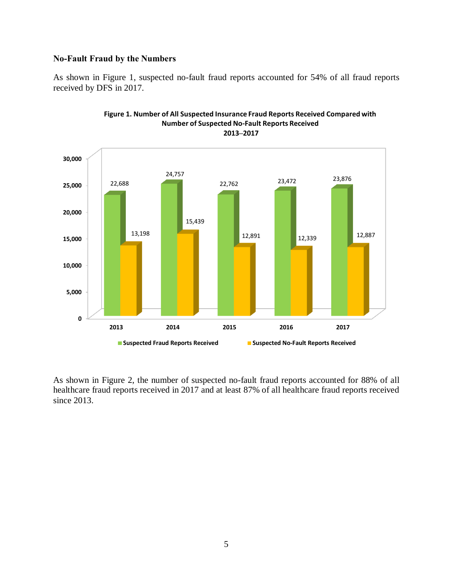#### **No-Fault Fraud by the Numbers**

 As shown in Figure 1, suspected no-fault fraud reports accounted for 54% of all fraud reports received by DFS in 2017.



 As shown in Figure 2, the number of suspected no-fault fraud reports accounted for 88% of all healthcare fraud reports received in 2017 and at least 87% of all healthcare fraud reports received since  $2013$ . since 2013.<br>
5

## **Figure 1. Number of All Suspected Insurance Fraud Reports Received Compared with Number of Suspected No-Fault Reports Received**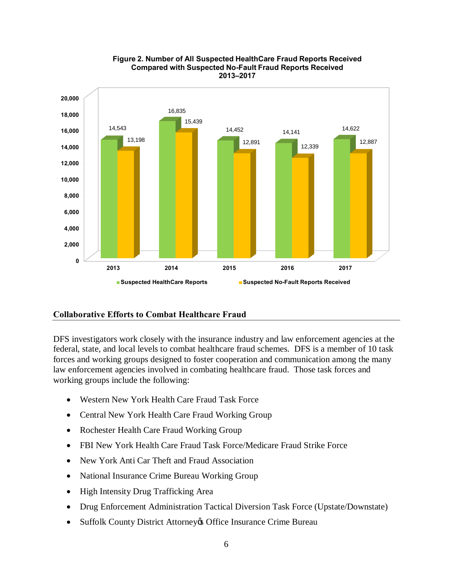<span id="page-5-0"></span>

 **Figure 2. Number of All Suspected HealthCare Fraud Reports Received Compared with Suspected No-Fault Fraud Reports Received 2013–2017** 

#### **Collaborative Efforts to Combat Healthcare Fraud**

 DFS investigators work closely with the insurance industry and law enforcement agencies at the federal, state, and local levels to combat healthcare fraud schemes. DFS is a member of 10 task forces and working groups designed to foster cooperation and communication among the many law enforcement agencies involved in combating healthcare fraud. Those task forces and working groups include the following:

- Western New York Health Care Fraud Task Force
- Central New York Health Care Fraud Working Group
- Rochester Health Care Fraud Working Group
- FBI New York Health Care Fraud Task Force/Medicare Fraud Strike Force
- New York Anti Car Theft and Fraud Association
- National Insurance Crime Bureau Working Group
- High Intensity Drug Trafficking Area
- Drug Enforcement Administration Tactical Diversion Task Force (Upstate/Downstate)
- Suffolk County District Attorney & Office Insurance Crime Bureau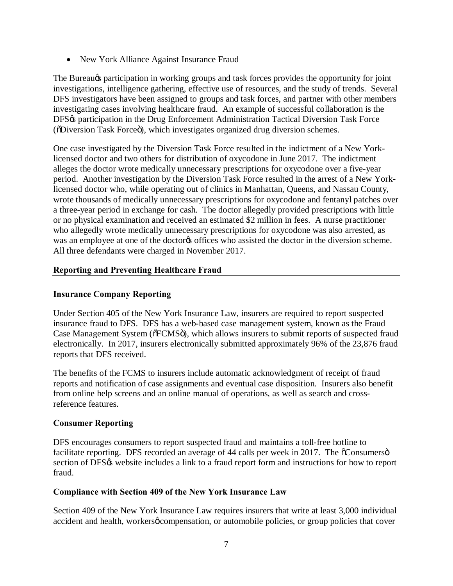<span id="page-6-0"></span>• New York Alliance Against Insurance Fraud

The Bureau $\alpha$  participation in working groups and task forces provides the opportunity for joint investigations, intelligence gathering, effective use of resources, and the study of trends. Several DFS investigators have been assigned to groups and task forces, and partner with other members investigating cases involving healthcare fraud. An example of successful collaboration is the DFS% participation in the Drug Enforcement Administration Tactical Diversion Task Force ( $\delta$ Diversion Task Force $\ddot{\text{o}}$ ), which investigates organized drug diversion schemes.

 One case investigated by the Diversion Task Force resulted in the indictment of a New York- licensed doctor and two others for distribution of oxycodone in June 2017. The indictment alleges the doctor wrote medically unnecessary prescriptions for oxycodone over a five-year period. Another investigation by the Diversion Task Force resulted in the arrest of a New York- licensed doctor who, while operating out of clinics in Manhattan, Queens, and Nassau County, wrote thousands of medically unnecessary prescriptions for oxycodone and fentanyl patches over a three-year period in exchange for cash. The doctor allegedly provided prescriptions with little or no physical examination and received an estimated \$2 million in fees. A nurse practitioner who allegedly wrote medically unnecessary prescriptions for oxycodone was also arrested, as was an employee at one of the doctor to offices who assisted the doctor in the diversion scheme. All three defendants were charged in November 2017.

## **Reporting and Preventing Healthcare Fraud**

## **Insurance Company Reporting**

 Under Section 405 of the New York Insurance Law, insurers are required to report suspected insurance fraud to DFS. DFS has a web-based case management system, known as the Fraud Case Management System (õFCMSö), which allows insurers to submit reports of suspected fraud electronically. In 2017, insurers electronically submitted approximately 96% of the 23,876 fraud reports that DFS received.

 The benefits of the FCMS to insurers include automatic acknowledgment of receipt of fraud reports and notification of case assignments and eventual case disposition. Insurers also benefit from online help screens and an online manual of operations, as well as search and cross-reference features.

## **Consumer Reporting**

 DFS encourages consumers to report suspected fraud and maintains a toll-free hotline to facilitate reporting. DFS recorded an average of 44 calls per week in 2017. The  $\tilde{o}$ Consumersö section of DFS $\circ$  website includes a link to a fraud report form and instructions for how to report fraud.

## **Compliance with Section 409 of the New York Insurance Law**

 Section 409 of the New York Insurance Law requires insurers that write at least 3,000 individual accident and health, workersø compensation, or automobile policies, or group policies that cover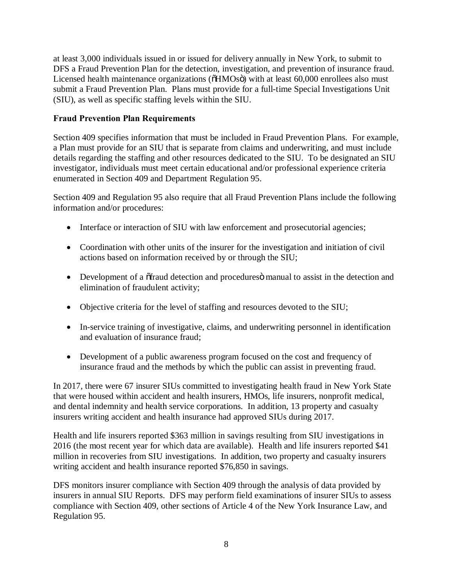<span id="page-7-0"></span> at least 3,000 individuals issued in or issued for delivery annually in New York, to submit to DFS a Fraud Prevention Plan for the detection, investigation, and prevention of insurance fraud. Licensed health maintenance organizations ( $\delta HMOs\ddot{o}$ ) with at least 60,000 enrollees also must submit a Fraud Prevention Plan. Plans must provide for a full-time Special Investigations Unit (SIU), as well as specific staffing levels within the SIU.

## **Fraud Prevention Plan Requirements**

 Section 409 specifies information that must be included in Fraud Prevention Plans. For example, a Plan must provide for an SIU that is separate from claims and underwriting, and must include details regarding the staffing and other resources dedicated to the SIU. To be designated an SIU investigator, individuals must meet certain educational and/or professional experience criteria enumerated in Section 409 and Department Regulation 95.

 Section 409 and Regulation 95 also require that all Fraud Prevention Plans include the following information and/or procedures:

- Interface or interaction of SIU with law enforcement and prosecutorial agencies;
- • Coordination with other units of the insurer for the investigation and initiation of civil actions based on information received by or through the SIU;
- Development of a  $\tilde{o}$  fraud detection and procedures $\tilde{o}$  manual to assist in the detection and elimination of fraudulent activity;
- Objective criteria for the level of staffing and resources devoted to the SIU;
- • In-service training of investigative, claims, and underwriting personnel in identification and evaluation of insurance fraud;
- • Development of a public awareness program focused on the cost and frequency of insurance fraud and the methods by which the public can assist in preventing fraud.

 In 2017, there were 67 insurer SIUs committed to investigating health fraud in New York State that were housed within accident and health insurers, HMOs, life insurers, nonprofit medical, and dental indemnity and health service corporations. In addition, 13 property and casualty insurers writing accident and health insurance had approved SIUs during 2017.

 Health and life insurers reported \$363 million in savings resulting from SIU investigations in 2016 (the most recent year for which data are available). Health and life insurers reported \$41 million in recoveries from SIU investigations. In addition, two property and casualty insurers writing accident and health insurance reported \$76,850 in savings.

 DFS monitors insurer compliance with Section 409 through the analysis of data provided by insurers in annual SIU Reports. DFS may perform field examinations of insurer SIUs to assess compliance with Section 409, other sections of Article 4 of the New York Insurance Law, and Regulation 95.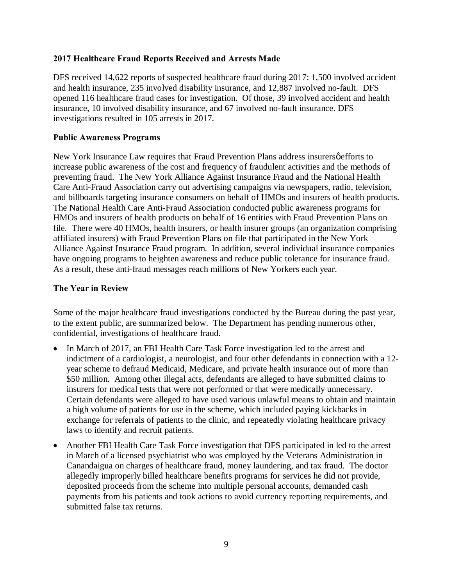## <span id="page-8-0"></span> **2017 Healthcare Fraud Reports Received and Arrests Made**

 DFS received 14,622 reports of suspected healthcare fraud during 2017: 1,500 involved accident and health insurance, 235 involved disability insurance, and 12,887 involved no-fault. DFS opened 116 healthcare fraud cases for investigation. Of those, 39 involved accident and health insurance, 10 involved disability insurance, and 67 involved no-fault insurance. DFS investigations resulted in 105 arrests in 2017.

### **Public Awareness Programs**

New York Insurance Law requires that Fraud Prevention Plans address insurersø efforts to increase public awareness of the cost and frequency of fraudulent activities and the methods of preventing fraud. The New York Alliance Against Insurance Fraud and the National Health Care Anti-Fraud Association carry out advertising campaigns via newspapers, radio, television, and billboards targeting insurance consumers on behalf of HMOs and insurers of health products. The National Health Care Anti-Fraud Association conducted public awareness programs for HMOs and insurers of health products on behalf of 16 entities with Fraud Prevention Plans on file. There were 40 HMOs, health insurers, or health insurer groups (an organization comprising affiliated insurers) with Fraud Prevention Plans on file that participated in the New York Alliance Against Insurance Fraud program. In addition, several individual insurance companies have ongoing programs to heighten awareness and reduce public tolerance for insurance fraud. As a result, these anti-fraud messages reach millions of New Yorkers each year.

## **The Year in Review**

 Some of the major healthcare fraud investigations conducted by the Bureau during the past year, to the extent public, are summarized below. The Department has pending numerous other, confidential, investigations of healthcare fraud.

- In March of 2017, an FBI Health Care Task Force investigation led to the arrest and indictment of a cardiologist, a neurologist, and four other defendants in connection with a 12- year scheme to defraud Medicaid, Medicare, and private health insurance out of more than \$50 million. Among other illegal acts, defendants are alleged to have submitted claims to insurers for medical tests that were not performed or that were medically unnecessary. Certain defendants were alleged to have used various unlawful means to obtain and maintain a high volume of patients for use in the scheme, which included paying kickbacks in exchange for referrals of patients to the clinic, and repeatedly violating healthcare privacy laws to identify and recruit patients.
- Another FBI Health Care Task Force investigation that DFS participated in led to the arrest in March of a licensed psychiatrist who was employed by the Veterans Administration in Canandaigua on charges of healthcare fraud, money laundering, and tax fraud. The doctor allegedly improperly billed healthcare benefits programs for services he did not provide, deposited proceeds from the scheme into multiple personal accounts, demanded cash payments from his patients and took actions to avoid currency reporting requirements, and submitted false tax returns.